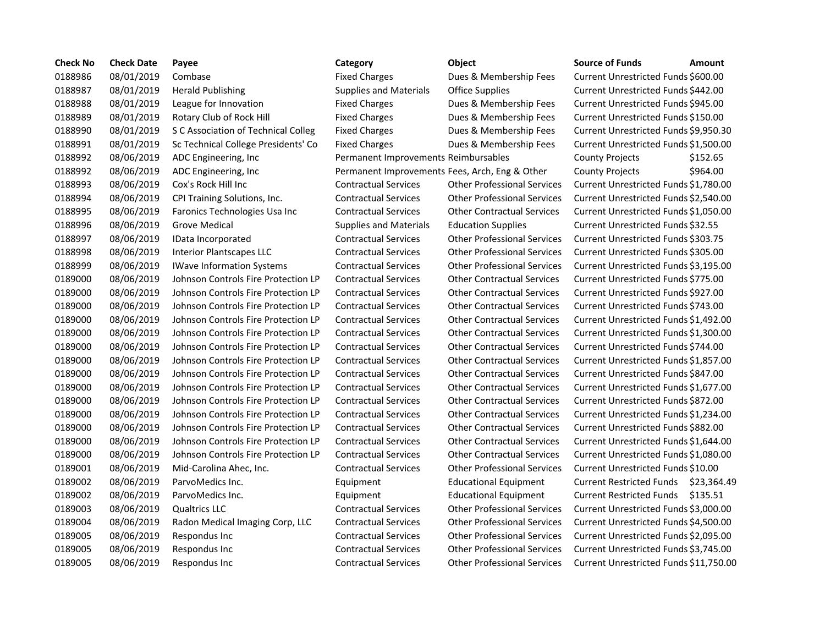| <b>Check No</b> | <b>Check Date</b> | Payee                               | Category                                       | <b>Object</b>                      | <b>Source of Funds</b><br>Amount            |
|-----------------|-------------------|-------------------------------------|------------------------------------------------|------------------------------------|---------------------------------------------|
| 0188986         | 08/01/2019        | Combase                             | <b>Fixed Charges</b>                           | Dues & Membership Fees             | Current Unrestricted Funds \$600.00         |
| 0188987         | 08/01/2019        | <b>Herald Publishing</b>            | <b>Supplies and Materials</b>                  | <b>Office Supplies</b>             | Current Unrestricted Funds \$442.00         |
| 0188988         | 08/01/2019        | League for Innovation               | <b>Fixed Charges</b>                           | Dues & Membership Fees             | Current Unrestricted Funds \$945.00         |
| 0188989         | 08/01/2019        | Rotary Club of Rock Hill            | <b>Fixed Charges</b>                           | Dues & Membership Fees             | Current Unrestricted Funds \$150.00         |
| 0188990         | 08/01/2019        | S C Association of Technical Colleg | <b>Fixed Charges</b>                           | Dues & Membership Fees             | Current Unrestricted Funds \$9,950.3        |
| 0188991         | 08/01/2019        | Sc Technical College Presidents' Co | <b>Fixed Charges</b>                           | Dues & Membership Fees             | Current Unrestricted Funds \$1,500.0        |
| 0188992         | 08/06/2019        | ADC Engineering, Inc.               | Permanent Improvements Reimbursables           |                                    | \$152.65<br><b>County Projects</b>          |
| 0188992         | 08/06/2019        | ADC Engineering, Inc                | Permanent Improvements Fees, Arch, Eng & Other |                                    | \$964.00<br><b>County Projects</b>          |
| 0188993         | 08/06/2019        | Cox's Rock Hill Inc                 | <b>Contractual Services</b>                    | <b>Other Professional Services</b> | Current Unrestricted Funds \$1,780.0        |
| 0188994         | 08/06/2019        | CPI Training Solutions, Inc.        | <b>Contractual Services</b>                    | <b>Other Professional Services</b> | Current Unrestricted Funds \$2,540.0        |
| 0188995         | 08/06/2019        | Faronics Technologies Usa Inc       | <b>Contractual Services</b>                    | <b>Other Contractual Services</b>  | Current Unrestricted Funds \$1,050.0        |
| 0188996         | 08/06/2019        | <b>Grove Medical</b>                | <b>Supplies and Materials</b>                  | <b>Education Supplies</b>          | Current Unrestricted Funds \$32.55          |
| 0188997         | 08/06/2019        | IData Incorporated                  | <b>Contractual Services</b>                    | <b>Other Professional Services</b> | Current Unrestricted Funds \$303.75         |
| 0188998         | 08/06/2019        | <b>Interior Plantscapes LLC</b>     | <b>Contractual Services</b>                    | <b>Other Professional Services</b> | Current Unrestricted Funds \$305.00         |
| 0188999         | 08/06/2019        | <b>IWave Information Systems</b>    | <b>Contractual Services</b>                    | <b>Other Professional Services</b> | Current Unrestricted Funds \$3,195.         |
| 0189000         | 08/06/2019        | Johnson Controls Fire Protection LP | <b>Contractual Services</b>                    | <b>Other Contractual Services</b>  | Current Unrestricted Funds \$775.00         |
| 0189000         | 08/06/2019        | Johnson Controls Fire Protection LP | <b>Contractual Services</b>                    | <b>Other Contractual Services</b>  | Current Unrestricted Funds \$927.00         |
| 0189000         | 08/06/2019        | Johnson Controls Fire Protection LP | <b>Contractual Services</b>                    | <b>Other Contractual Services</b>  | Current Unrestricted Funds \$743.00         |
| 0189000         | 08/06/2019        | Johnson Controls Fire Protection LP | <b>Contractual Services</b>                    | <b>Other Contractual Services</b>  | Current Unrestricted Funds \$1,492.         |
| 0189000         | 08/06/2019        | Johnson Controls Fire Protection LP | <b>Contractual Services</b>                    | <b>Other Contractual Services</b>  | Current Unrestricted Funds \$1,300.0        |
| 0189000         | 08/06/2019        | Johnson Controls Fire Protection LP | <b>Contractual Services</b>                    | <b>Other Contractual Services</b>  | Current Unrestricted Funds \$744.00         |
| 0189000         | 08/06/2019        | Johnson Controls Fire Protection LP | <b>Contractual Services</b>                    | <b>Other Contractual Services</b>  | Current Unrestricted Funds \$1,857.0        |
| 0189000         | 08/06/2019        | Johnson Controls Fire Protection LP | <b>Contractual Services</b>                    | <b>Other Contractual Services</b>  | Current Unrestricted Funds \$847.00         |
| 0189000         | 08/06/2019        | Johnson Controls Fire Protection LP | <b>Contractual Services</b>                    | <b>Other Contractual Services</b>  | Current Unrestricted Funds \$1,677.0        |
| 0189000         | 08/06/2019        | Johnson Controls Fire Protection LP | <b>Contractual Services</b>                    | <b>Other Contractual Services</b>  | Current Unrestricted Funds \$872.00         |
| 0189000         | 08/06/2019        | Johnson Controls Fire Protection LP | <b>Contractual Services</b>                    | <b>Other Contractual Services</b>  | Current Unrestricted Funds \$1,234.0        |
| 0189000         | 08/06/2019        | Johnson Controls Fire Protection LP | <b>Contractual Services</b>                    | <b>Other Contractual Services</b>  | Current Unrestricted Funds \$882.00         |
| 0189000         | 08/06/2019        | Johnson Controls Fire Protection LP | <b>Contractual Services</b>                    | <b>Other Contractual Services</b>  | Current Unrestricted Funds \$1,644.0        |
| 0189000         | 08/06/2019        | Johnson Controls Fire Protection LP | <b>Contractual Services</b>                    | <b>Other Contractual Services</b>  | Current Unrestricted Funds \$1,080.0        |
| 0189001         | 08/06/2019        | Mid-Carolina Ahec, Inc.             | <b>Contractual Services</b>                    | <b>Other Professional Services</b> | Current Unrestricted Funds \$10.00          |
| 0189002         | 08/06/2019        | ParvoMedics Inc.                    | Equipment                                      | <b>Educational Equipment</b>       | <b>Current Restricted Funds</b><br>\$23,364 |
| 0189002         | 08/06/2019        | ParvoMedics Inc.                    | Equipment                                      | <b>Educational Equipment</b>       | <b>Current Restricted Funds</b><br>\$135.51 |
| 0189003         | 08/06/2019        | <b>Qualtrics LLC</b>                | <b>Contractual Services</b>                    | <b>Other Professional Services</b> | Current Unrestricted Funds \$3,000.0        |
| 0189004         | 08/06/2019        | Radon Medical Imaging Corp, LLC     | <b>Contractual Services</b>                    | <b>Other Professional Services</b> | Current Unrestricted Funds \$4,500.0        |
| 0189005         | 08/06/2019        | Respondus Inc                       | <b>Contractual Services</b>                    | <b>Other Professional Services</b> | Current Unrestricted Funds \$2,095.0        |
| 0189005         | 08/06/2019        | Respondus Inc                       | <b>Contractual Services</b>                    | <b>Other Professional Services</b> | Current Unrestricted Funds \$3,745.0        |
| 0189005         | 08/06/2019        | Respondus Inc                       | <b>Contractual Services</b>                    | <b>Other Professional Services</b> | Current Unrestricted Funds \$11,750         |

0188986 08/01/2019 Combase Fixed Charges Dues & Membership Fees Current Unrestricted Funds \$600.00 ce Supplies **Current Unrestricted Funds \$442.00** s & Membership Fees Current Unrestricted Funds \$945.00 s & Membership Fees Current Unrestricted Funds \$150.00 01889 Membership Fees Current Unrestricted Funds \$9,950.30 s & Membership Fees Current Unrestricted Funds \$1,500.00 026 S, Arch, Eng & Other County Projects \$964.00 er Professional Services Current Unrestricted Funds \$1,780.00 er Professional Services Current Unrestricted Funds \$2,540.00 er Contractual Services Current Unrestricted Funds \$1,050.00 cation Supplies **Current Unrestricted Funds \$32.55** er Professional Services Current Unrestricted Funds \$303.75 er Professional Services Current Unrestricted Funds \$305.00 er Professional Services Current Unrestricted Funds \$3,195.00 er Contractual Services Current Unrestricted Funds \$775.00 er Contractual Services Current Unrestricted Funds \$927.00 er Contractual Services Current Unrestricted Funds \$743.00 er Contractual Services Current Unrestricted Funds \$1,492.00 er Contractual Services Current Unrestricted Funds \$1,300.00 er Contractual Services Current Unrestricted Funds \$744.00 er Contractual Services Current Unrestricted Funds \$1,857.00 er Contractual Services Current Unrestricted Funds \$847.00 er Contractual Services Current Unrestricted Funds \$1,677.00 er Contractual Services Current Unrestricted Funds \$872.00 er Contractual Services Current Unrestricted Funds \$1,234.00 er Contractual Services Current Unrestricted Funds \$882.00 er Contractual Services Current Unrestricted Funds \$1,644.00 er Contractual Services Current Unrestricted Funds \$1,080.00 er Professional Services Current Unrestricted Funds \$10.00 cational Equipment Current Restricted Funds \$23,364.49 cational Equipment Current Restricted Funds \$135.51 er Professional Services Current Unrestricted Funds \$3,000.00 er Professional Services Current Unrestricted Funds \$4,500.00 er Professional Services Current Unrestricted Funds \$2,095.00 er Professional Services Current Unrestricted Funds \$3,745.00 0189005 08/06/2019 Respondus Inc Contractual Services Other Professional Services Current Unrestricted Funds \$11,750.00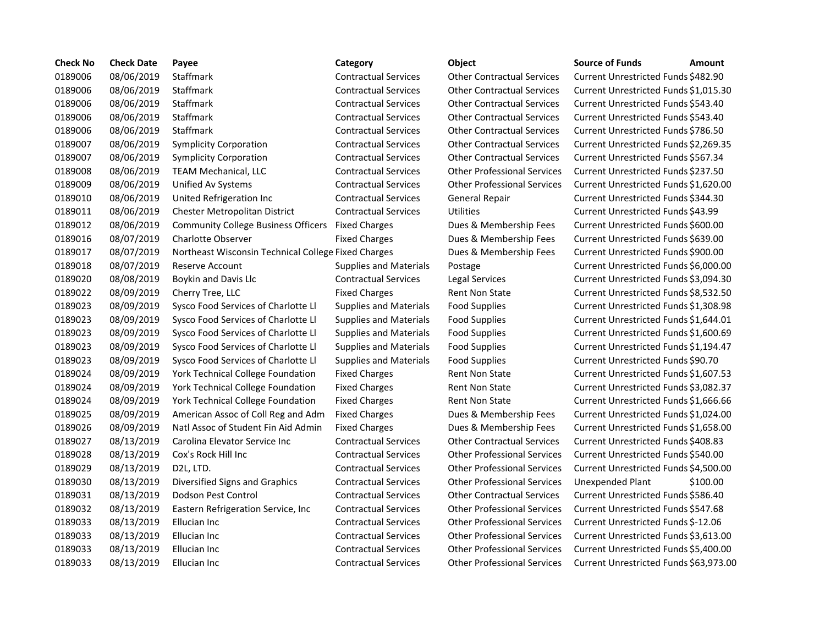| <b>Check No</b> | <b>Check Date</b> | Payee                                               | Category                      | <b>Object</b>                      | <b>Source of Funds</b><br>Amount     |
|-----------------|-------------------|-----------------------------------------------------|-------------------------------|------------------------------------|--------------------------------------|
| 0189006         | 08/06/2019        | Staffmark                                           | <b>Contractual Services</b>   | <b>Other Contractual Services</b>  | Current Unrestricted Funds \$482.90  |
| 0189006         | 08/06/2019        | <b>Staffmark</b>                                    | <b>Contractual Services</b>   | <b>Other Contractual Services</b>  | Current Unrestricted Funds \$1,015.3 |
| 0189006         | 08/06/2019        | Staffmark                                           | <b>Contractual Services</b>   | <b>Other Contractual Services</b>  | Current Unrestricted Funds \$543.40  |
| 0189006         | 08/06/2019        | Staffmark                                           | <b>Contractual Services</b>   | <b>Other Contractual Services</b>  | Current Unrestricted Funds \$543.40  |
| 0189006         | 08/06/2019        | Staffmark                                           | <b>Contractual Services</b>   | <b>Other Contractual Services</b>  | Current Unrestricted Funds \$786.50  |
| 0189007         | 08/06/2019        | <b>Symplicity Corporation</b>                       | <b>Contractual Services</b>   | <b>Other Contractual Services</b>  | Current Unrestricted Funds \$2,269.3 |
| 0189007         | 08/06/2019        | <b>Symplicity Corporation</b>                       | <b>Contractual Services</b>   | <b>Other Contractual Services</b>  | Current Unrestricted Funds \$567.34  |
| 0189008         | 08/06/2019        | TEAM Mechanical, LLC                                | <b>Contractual Services</b>   | <b>Other Professional Services</b> | Current Unrestricted Funds \$237.50  |
| 0189009         | 08/06/2019        | Unified Av Systems                                  | <b>Contractual Services</b>   | <b>Other Professional Services</b> | Current Unrestricted Funds \$1,620.0 |
| 0189010         | 08/06/2019        | United Refrigeration Inc                            | <b>Contractual Services</b>   | <b>General Repair</b>              | Current Unrestricted Funds \$344.30  |
| 0189011         | 08/06/2019        | Chester Metropolitan District                       | <b>Contractual Services</b>   | Utilities                          | Current Unrestricted Funds \$43.99   |
| 0189012         | 08/06/2019        | <b>Community College Business Officers</b>          | <b>Fixed Charges</b>          | Dues & Membership Fees             | Current Unrestricted Funds \$600.00  |
| 0189016         | 08/07/2019        | <b>Charlotte Observer</b>                           | <b>Fixed Charges</b>          | Dues & Membership Fees             | Current Unrestricted Funds \$639.00  |
| 0189017         | 08/07/2019        | Northeast Wisconsin Technical College Fixed Charges |                               | Dues & Membership Fees             | Current Unrestricted Funds \$900.00  |
| 0189018         | 08/07/2019        | <b>Reserve Account</b>                              | Supplies and Materials        | Postage                            | Current Unrestricted Funds \$6,000.0 |
| 0189020         | 08/08/2019        | Boykin and Davis Llc                                | <b>Contractual Services</b>   | <b>Legal Services</b>              | Current Unrestricted Funds \$3,094.3 |
| 0189022         | 08/09/2019        | Cherry Tree, LLC                                    | <b>Fixed Charges</b>          | <b>Rent Non State</b>              | Current Unrestricted Funds \$8,532.5 |
| 0189023         | 08/09/2019        | Sysco Food Services of Charlotte Ll                 | <b>Supplies and Materials</b> | <b>Food Supplies</b>               | Current Unrestricted Funds \$1,308.9 |
| 0189023         | 08/09/2019        | Sysco Food Services of Charlotte Ll                 | <b>Supplies and Materials</b> | <b>Food Supplies</b>               | Current Unrestricted Funds \$1,644.0 |
| 0189023         | 08/09/2019        | Sysco Food Services of Charlotte Ll                 | <b>Supplies and Materials</b> | <b>Food Supplies</b>               | Current Unrestricted Funds \$1,600.6 |
| 0189023         | 08/09/2019        | Sysco Food Services of Charlotte Ll                 | <b>Supplies and Materials</b> | <b>Food Supplies</b>               | Current Unrestricted Funds \$1,194.4 |
| 0189023         | 08/09/2019        | Sysco Food Services of Charlotte Ll                 | <b>Supplies and Materials</b> | <b>Food Supplies</b>               | Current Unrestricted Funds \$90.70   |
| 0189024         | 08/09/2019        | York Technical College Foundation                   | <b>Fixed Charges</b>          | <b>Rent Non State</b>              | Current Unrestricted Funds \$1,607.5 |
| 0189024         | 08/09/2019        | York Technical College Foundation                   | <b>Fixed Charges</b>          | <b>Rent Non State</b>              | Current Unrestricted Funds \$3,082.3 |
| 0189024         | 08/09/2019        | York Technical College Foundation                   | <b>Fixed Charges</b>          | <b>Rent Non State</b>              | Current Unrestricted Funds \$1,666.6 |
| 0189025         | 08/09/2019        | American Assoc of Coll Reg and Adm                  | <b>Fixed Charges</b>          | Dues & Membership Fees             | Current Unrestricted Funds \$1,024.0 |
| 0189026         | 08/09/2019        | Natl Assoc of Student Fin Aid Admin                 | <b>Fixed Charges</b>          | Dues & Membership Fees             | Current Unrestricted Funds \$1,658.0 |
| 0189027         | 08/13/2019        | Carolina Elevator Service Inc                       | <b>Contractual Services</b>   | <b>Other Contractual Services</b>  | Current Unrestricted Funds \$408.83  |
| 0189028         | 08/13/2019        | Cox's Rock Hill Inc                                 | <b>Contractual Services</b>   | <b>Other Professional Services</b> | Current Unrestricted Funds \$540.00  |
| 0189029         | 08/13/2019        | D2L, LTD.                                           | <b>Contractual Services</b>   | <b>Other Professional Services</b> | Current Unrestricted Funds \$4,500.0 |
| 0189030         | 08/13/2019        | Diversified Signs and Graphics                      | <b>Contractual Services</b>   | <b>Other Professional Services</b> | \$100.00<br>Unexpended Plant         |
| 0189031         | 08/13/2019        | Dodson Pest Control                                 | <b>Contractual Services</b>   | <b>Other Contractual Services</b>  | Current Unrestricted Funds \$586.40  |
| 0189032         | 08/13/2019        | Eastern Refrigeration Service, Inc                  | <b>Contractual Services</b>   | <b>Other Professional Services</b> | Current Unrestricted Funds \$547.68  |
| 0189033         | 08/13/2019        | Ellucian Inc                                        | <b>Contractual Services</b>   | <b>Other Professional Services</b> | Current Unrestricted Funds \$-12.06  |
| 0189033         | 08/13/2019        | Ellucian Inc                                        | <b>Contractual Services</b>   | <b>Other Professional Services</b> | Current Unrestricted Funds \$3,613.0 |
| 0189033         | 08/13/2019        | Ellucian Inc                                        | <b>Contractual Services</b>   | <b>Other Professional Services</b> | Current Unrestricted Funds \$5,400.0 |
| 0189033         | 08/13/2019        | Ellucian Inc                                        | <b>Contractual Services</b>   | <b>Other Professional Services</b> | Current Unrestricted Funds \$63,973  |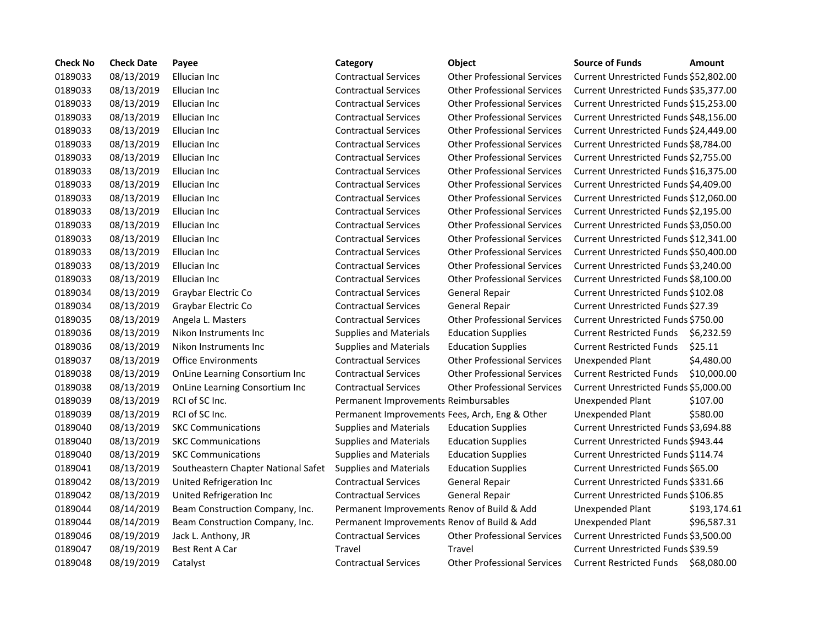| <b>Check No</b> | <b>Check Date</b> | Payee                               | Category                                       | <b>Object</b>                      | <b>Source of Funds</b>                    | <b>Amount</b> |
|-----------------|-------------------|-------------------------------------|------------------------------------------------|------------------------------------|-------------------------------------------|---------------|
| 0189033         | 08/13/2019        | Ellucian Inc                        | <b>Contractual Services</b>                    | <b>Other Professional Services</b> | Current Unrestricted Funds \$52,802.00    |               |
| 0189033         | 08/13/2019        | Ellucian Inc                        | <b>Contractual Services</b>                    | <b>Other Professional Services</b> | Current Unrestricted Funds \$35,377.00    |               |
| 0189033         | 08/13/2019        | Ellucian Inc                        | <b>Contractual Services</b>                    | <b>Other Professional Services</b> | Current Unrestricted Funds \$15,253.00    |               |
| 0189033         | 08/13/2019        | Ellucian Inc                        | <b>Contractual Services</b>                    | <b>Other Professional Services</b> | Current Unrestricted Funds \$48,156.00    |               |
| 0189033         | 08/13/2019        | Ellucian Inc                        | <b>Contractual Services</b>                    | <b>Other Professional Services</b> | Current Unrestricted Funds \$24,449.00    |               |
| 0189033         | 08/13/2019        | Ellucian Inc                        | <b>Contractual Services</b>                    | <b>Other Professional Services</b> | Current Unrestricted Funds \$8,784.00     |               |
| 0189033         | 08/13/2019        | Ellucian Inc                        | <b>Contractual Services</b>                    | <b>Other Professional Services</b> | Current Unrestricted Funds \$2,755.00     |               |
| 0189033         | 08/13/2019        | Ellucian Inc                        | <b>Contractual Services</b>                    | <b>Other Professional Services</b> | Current Unrestricted Funds \$16,375.00    |               |
| 0189033         | 08/13/2019        | Ellucian Inc                        | <b>Contractual Services</b>                    | <b>Other Professional Services</b> | Current Unrestricted Funds \$4,409.00     |               |
| 0189033         | 08/13/2019        | Ellucian Inc                        | <b>Contractual Services</b>                    | <b>Other Professional Services</b> | Current Unrestricted Funds \$12,060.00    |               |
| 0189033         | 08/13/2019        | Ellucian Inc                        | <b>Contractual Services</b>                    | <b>Other Professional Services</b> | Current Unrestricted Funds \$2,195.00     |               |
| 0189033         | 08/13/2019        | Ellucian Inc                        | <b>Contractual Services</b>                    | <b>Other Professional Services</b> | Current Unrestricted Funds \$3,050.00     |               |
| 0189033         | 08/13/2019        | Ellucian Inc                        | <b>Contractual Services</b>                    | <b>Other Professional Services</b> | Current Unrestricted Funds \$12,341.00    |               |
| 0189033         | 08/13/2019        | Ellucian Inc                        | <b>Contractual Services</b>                    | <b>Other Professional Services</b> | Current Unrestricted Funds \$50,400.00    |               |
| 0189033         | 08/13/2019        | Ellucian Inc                        | <b>Contractual Services</b>                    | <b>Other Professional Services</b> | Current Unrestricted Funds \$3,240.00     |               |
| 0189033         | 08/13/2019        | Ellucian Inc                        | <b>Contractual Services</b>                    | <b>Other Professional Services</b> | Current Unrestricted Funds \$8,100.00     |               |
| 0189034         | 08/13/2019        | Graybar Electric Co                 | <b>Contractual Services</b>                    | <b>General Repair</b>              | Current Unrestricted Funds \$102.08       |               |
| 0189034         | 08/13/2019        | Graybar Electric Co                 | <b>Contractual Services</b>                    | <b>General Repair</b>              | <b>Current Unrestricted Funds \$27.39</b> |               |
| 0189035         | 08/13/2019        | Angela L. Masters                   | <b>Contractual Services</b>                    | <b>Other Professional Services</b> | Current Unrestricted Funds \$750.00       |               |
| 0189036         | 08/13/2019        | Nikon Instruments Inc               | <b>Supplies and Materials</b>                  | <b>Education Supplies</b>          | <b>Current Restricted Funds</b>           | \$6,232.59    |
| 0189036         | 08/13/2019        | Nikon Instruments Inc               | <b>Supplies and Materials</b>                  | <b>Education Supplies</b>          | <b>Current Restricted Funds</b>           | \$25.11       |
| 0189037         | 08/13/2019        | <b>Office Environments</b>          | <b>Contractual Services</b>                    | <b>Other Professional Services</b> | <b>Unexpended Plant</b>                   | \$4,480.00    |
| 0189038         | 08/13/2019        | OnLine Learning Consortium Inc      | <b>Contractual Services</b>                    | <b>Other Professional Services</b> | <b>Current Restricted Funds</b>           | \$10,000.00   |
| 0189038         | 08/13/2019        | OnLine Learning Consortium Inc      | <b>Contractual Services</b>                    | <b>Other Professional Services</b> | Current Unrestricted Funds \$5,000.00     |               |
| 0189039         | 08/13/2019        | RCI of SC Inc.                      | Permanent Improvements Reimbursables           |                                    | Unexpended Plant                          | \$107.00      |
| 0189039         | 08/13/2019        | RCI of SC Inc.                      | Permanent Improvements Fees, Arch, Eng & Other |                                    | Unexpended Plant                          | \$580.00      |
| 0189040         | 08/13/2019        | <b>SKC Communications</b>           | <b>Supplies and Materials</b>                  | <b>Education Supplies</b>          | Current Unrestricted Funds \$3,694.88     |               |
| 0189040         | 08/13/2019        | <b>SKC Communications</b>           | <b>Supplies and Materials</b>                  | <b>Education Supplies</b>          | Current Unrestricted Funds \$943.44       |               |
| 0189040         | 08/13/2019        | <b>SKC Communications</b>           | <b>Supplies and Materials</b>                  | <b>Education Supplies</b>          | Current Unrestricted Funds \$114.74       |               |
| 0189041         | 08/13/2019        | Southeastern Chapter National Safet | <b>Supplies and Materials</b>                  | <b>Education Supplies</b>          | Current Unrestricted Funds \$65.00        |               |
| 0189042         | 08/13/2019        | United Refrigeration Inc            | <b>Contractual Services</b>                    | <b>General Repair</b>              | Current Unrestricted Funds \$331.66       |               |
| 0189042         | 08/13/2019        | United Refrigeration Inc            | <b>Contractual Services</b>                    | <b>General Repair</b>              | Current Unrestricted Funds \$106.85       |               |
| 0189044         | 08/14/2019        | Beam Construction Company, Inc.     | Permanent Improvements Renov of Build & Add    |                                    | Unexpended Plant                          | \$193,174.61  |
| 0189044         | 08/14/2019        | Beam Construction Company, Inc.     | Permanent Improvements Renov of Build & Add    |                                    | Unexpended Plant                          | \$96,587.31   |
| 0189046         | 08/19/2019        | Jack L. Anthony, JR                 | <b>Contractual Services</b>                    | <b>Other Professional Services</b> | Current Unrestricted Funds \$3,500.00     |               |
| 0189047         | 08/19/2019        | <b>Best Rent A Car</b>              | Travel                                         | Travel                             | Current Unrestricted Funds \$39.59        |               |
| 0189048         | 08/19/2019        | Catalyst                            | <b>Contractual Services</b>                    | <b>Other Professional Services</b> | Current Restricted Funds \$68,080.00      |               |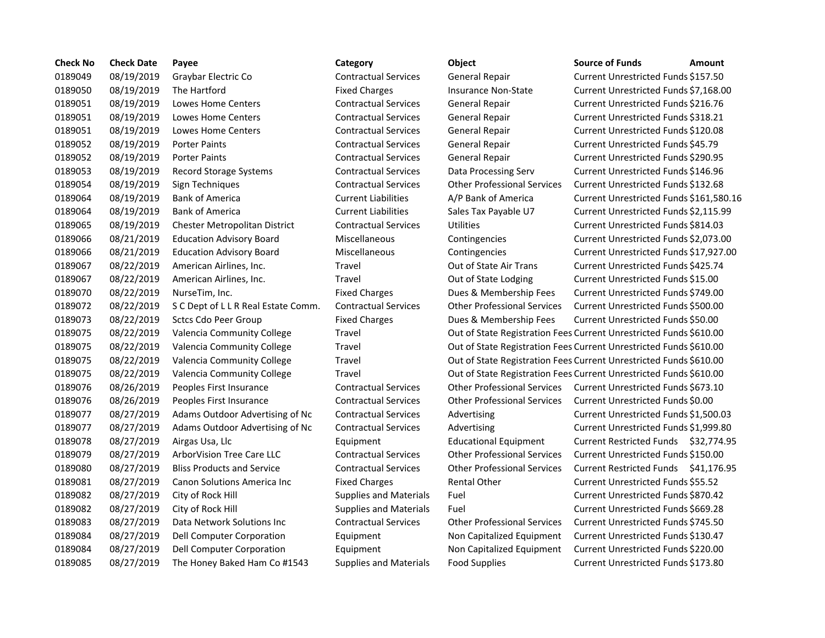| <b>Check No</b> | <b>Check Date</b> | Payee                               | Category                      | Object                                                             | <b>Source of Funds</b>               | Amount   |
|-----------------|-------------------|-------------------------------------|-------------------------------|--------------------------------------------------------------------|--------------------------------------|----------|
| 0189049         | 08/19/2019        | Graybar Electric Co                 | <b>Contractual Services</b>   | General Repair                                                     | Current Unrestricted Funds \$157.50  |          |
| 0189050         | 08/19/2019        | The Hartford                        | <b>Fixed Charges</b>          | Insurance Non-State                                                | Current Unrestricted Funds \$7,168.0 |          |
| 0189051         | 08/19/2019        | Lowes Home Centers                  | <b>Contractual Services</b>   | General Repair                                                     | Current Unrestricted Funds \$216.76  |          |
| 0189051         | 08/19/2019        | Lowes Home Centers                  | <b>Contractual Services</b>   | General Repair                                                     | Current Unrestricted Funds \$318.21  |          |
| 0189051         | 08/19/2019        | Lowes Home Centers                  | <b>Contractual Services</b>   | General Repair                                                     | Current Unrestricted Funds \$120.08  |          |
| 0189052         | 08/19/2019        | <b>Porter Paints</b>                | <b>Contractual Services</b>   | <b>General Repair</b>                                              | Current Unrestricted Funds \$45.79   |          |
| 0189052         | 08/19/2019        | <b>Porter Paints</b>                | <b>Contractual Services</b>   | <b>General Repair</b>                                              | Current Unrestricted Funds \$290.95  |          |
| 0189053         | 08/19/2019        | <b>Record Storage Systems</b>       | <b>Contractual Services</b>   | Data Processing Serv                                               | Current Unrestricted Funds \$146.96  |          |
| 0189054         | 08/19/2019        | Sign Techniques                     | <b>Contractual Services</b>   | <b>Other Professional Services</b>                                 | Current Unrestricted Funds \$132.68  |          |
| 0189064         | 08/19/2019        | <b>Bank of America</b>              | <b>Current Liabilities</b>    | A/P Bank of America                                                | Current Unrestricted Funds \$161,58  |          |
| 0189064         | 08/19/2019        | <b>Bank of America</b>              | <b>Current Liabilities</b>    | Sales Tax Payable U7                                               | Current Unrestricted Funds \$2,115.9 |          |
| 0189065         | 08/19/2019        | Chester Metropolitan District       | <b>Contractual Services</b>   | <b>Utilities</b>                                                   | Current Unrestricted Funds \$814.03  |          |
| 0189066         | 08/21/2019        | <b>Education Advisory Board</b>     | <b>Miscellaneous</b>          | Contingencies                                                      | Current Unrestricted Funds \$2,073.0 |          |
| 0189066         | 08/21/2019        | <b>Education Advisory Board</b>     | Miscellaneous                 | Contingencies                                                      | Current Unrestricted Funds \$17,927  |          |
| 0189067         | 08/22/2019        | American Airlines, Inc.             | Travel                        | Out of State Air Trans                                             | Current Unrestricted Funds \$425.74  |          |
| 0189067         | 08/22/2019        | American Airlines, Inc.             | Travel                        | Out of State Lodging                                               | Current Unrestricted Funds \$15.00   |          |
| 0189070         | 08/22/2019        | NurseTim, Inc.                      | <b>Fixed Charges</b>          | Dues & Membership Fees                                             | Current Unrestricted Funds \$749.00  |          |
| 0189072         | 08/22/2019        | S C Dept of L L R Real Estate Comm. | <b>Contractual Services</b>   | <b>Other Professional Services</b>                                 | Current Unrestricted Funds \$500.00  |          |
| 0189073         | 08/22/2019        | Sctcs Cdo Peer Group                | <b>Fixed Charges</b>          | Dues & Membership Fees                                             | Current Unrestricted Funds \$50.00   |          |
| 0189075         | 08/22/2019        | Valencia Community College          | Travel                        | Out of State Registration Fees Current Unrestricted Funds \$610.00 |                                      |          |
| 0189075         | 08/22/2019        | Valencia Community College          | Travel                        | Out of State Registration Fees Current Unrestricted Funds \$610.00 |                                      |          |
| 0189075         | 08/22/2019        | Valencia Community College          | Travel                        | Out of State Registration Fees Current Unrestricted Funds \$610.00 |                                      |          |
| 0189075         | 08/22/2019        | Valencia Community College          | Travel                        | Out of State Registration Fees Current Unrestricted Funds \$610.00 |                                      |          |
| 0189076         | 08/26/2019        | Peoples First Insurance             | <b>Contractual Services</b>   | <b>Other Professional Services</b>                                 | Current Unrestricted Funds \$673.10  |          |
| 0189076         | 08/26/2019        | Peoples First Insurance             | <b>Contractual Services</b>   | <b>Other Professional Services</b>                                 | Current Unrestricted Funds \$0.00    |          |
| 0189077         | 08/27/2019        | Adams Outdoor Advertising of Nc     | <b>Contractual Services</b>   | Advertising                                                        | Current Unrestricted Funds \$1,500.0 |          |
| 0189077         | 08/27/2019        | Adams Outdoor Advertising of Nc     | <b>Contractual Services</b>   | Advertising                                                        | Current Unrestricted Funds \$1,999.8 |          |
| 0189078         | 08/27/2019        | Airgas Usa, Llc                     | Equipment                     | <b>Educational Equipment</b>                                       | <b>Current Restricted Funds</b>      | \$32,774 |
| 0189079         | 08/27/2019        | ArborVision Tree Care LLC           | <b>Contractual Services</b>   | <b>Other Professional Services</b>                                 | Current Unrestricted Funds \$150.00  |          |
| 0189080         | 08/27/2019        | <b>Bliss Products and Service</b>   | <b>Contractual Services</b>   | <b>Other Professional Services</b>                                 | <b>Current Restricted Funds</b>      | \$41,176 |
| 0189081         | 08/27/2019        | <b>Canon Solutions America Inc.</b> | <b>Fixed Charges</b>          | <b>Rental Other</b>                                                | Current Unrestricted Funds \$55.52   |          |
| 0189082         | 08/27/2019        | City of Rock Hill                   | <b>Supplies and Materials</b> | Fuel                                                               | Current Unrestricted Funds \$870.42  |          |
| 0189082         | 08/27/2019        | City of Rock Hill                   | <b>Supplies and Materials</b> | Fuel                                                               | Current Unrestricted Funds \$669.28  |          |
| 0189083         | 08/27/2019        | Data Network Solutions Inc          | <b>Contractual Services</b>   | <b>Other Professional Services</b>                                 | Current Unrestricted Funds \$745.50  |          |
| 0189084         | 08/27/2019        | Dell Computer Corporation           | Equipment                     | Non Capitalized Equipment                                          | Current Unrestricted Funds \$130.47  |          |
| 0189084         | 08/27/2019        | Dell Computer Corporation           | Equipment                     | Non Capitalized Equipment                                          | Current Unrestricted Funds \$220.00  |          |
| 0189085         | 08/27/2019        | The Honey Baked Ham Co #1543        | <b>Supplies and Materials</b> | <b>Food Supplies</b>                                               | Current Unrestricted Funds \$173.80  |          |

## Supplies and Materials Food Supplies **East Accord Engineer Current Unrestricted Funds \$173.80**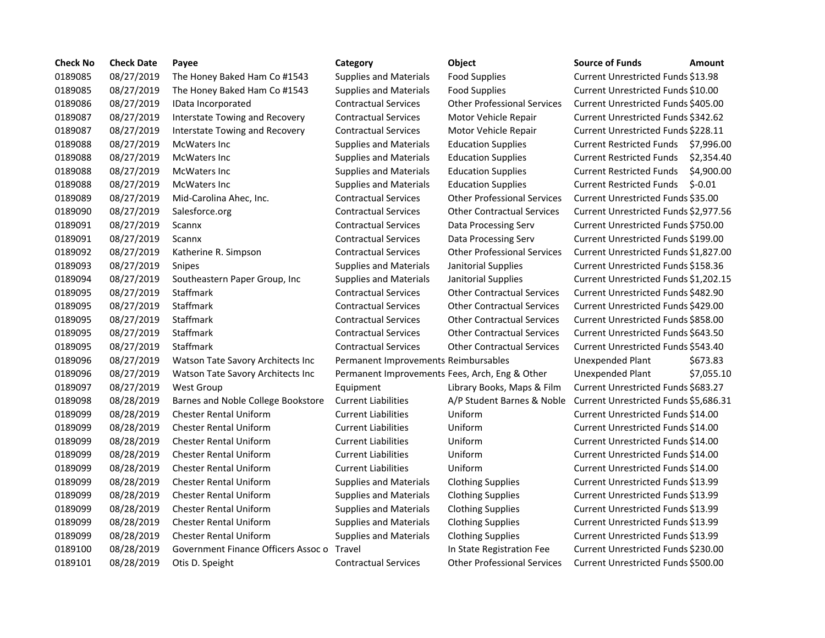| <b>Check No</b> | <b>Check Date</b> | Payee                                      | Category                                       | <b>Object</b>                      | <b>Source of Funds</b>                | <b>Amount</b> |
|-----------------|-------------------|--------------------------------------------|------------------------------------------------|------------------------------------|---------------------------------------|---------------|
| 0189085         | 08/27/2019        | The Honey Baked Ham Co #1543               | <b>Supplies and Materials</b>                  | <b>Food Supplies</b>               | Current Unrestricted Funds \$13.98    |               |
| 0189085         | 08/27/2019        | The Honey Baked Ham Co #1543               | <b>Supplies and Materials</b>                  | <b>Food Supplies</b>               | Current Unrestricted Funds \$10.00    |               |
| 0189086         | 08/27/2019        | IData Incorporated                         | <b>Contractual Services</b>                    | <b>Other Professional Services</b> | Current Unrestricted Funds \$405.00   |               |
| 0189087         | 08/27/2019        | <b>Interstate Towing and Recovery</b>      | <b>Contractual Services</b>                    | Motor Vehicle Repair               | Current Unrestricted Funds \$342.62   |               |
| 0189087         | 08/27/2019        | <b>Interstate Towing and Recovery</b>      | <b>Contractual Services</b>                    | Motor Vehicle Repair               | Current Unrestricted Funds \$228.11   |               |
| 0189088         | 08/27/2019        | McWaters Inc                               | <b>Supplies and Materials</b>                  | <b>Education Supplies</b>          | <b>Current Restricted Funds</b>       | \$7,996.00    |
| 0189088         | 08/27/2019        | <b>McWaters Inc</b>                        | <b>Supplies and Materials</b>                  | <b>Education Supplies</b>          | <b>Current Restricted Funds</b>       | \$2,354.40    |
| 0189088         | 08/27/2019        | <b>McWaters Inc</b>                        | <b>Supplies and Materials</b>                  | <b>Education Supplies</b>          | <b>Current Restricted Funds</b>       | \$4,900.00    |
| 0189088         | 08/27/2019        | <b>McWaters Inc</b>                        | <b>Supplies and Materials</b>                  | <b>Education Supplies</b>          | <b>Current Restricted Funds</b>       | $$-0.01$      |
| 0189089         | 08/27/2019        | Mid-Carolina Ahec, Inc.                    | <b>Contractual Services</b>                    | <b>Other Professional Services</b> | Current Unrestricted Funds \$35.00    |               |
| 0189090         | 08/27/2019        | Salesforce.org                             | <b>Contractual Services</b>                    | <b>Other Contractual Services</b>  | Current Unrestricted Funds \$2,977.56 |               |
| 0189091         | 08/27/2019        | Scannx                                     | <b>Contractual Services</b>                    | Data Processing Serv               | Current Unrestricted Funds \$750.00   |               |
| 0189091         | 08/27/2019        | Scannx                                     | <b>Contractual Services</b>                    | Data Processing Serv               | Current Unrestricted Funds \$199.00   |               |
| 0189092         | 08/27/2019        | Katherine R. Simpson                       | <b>Contractual Services</b>                    | <b>Other Professional Services</b> | Current Unrestricted Funds \$1,827.00 |               |
| 0189093         | 08/27/2019        | Snipes                                     | <b>Supplies and Materials</b>                  | Janitorial Supplies                | Current Unrestricted Funds \$158.36   |               |
| 0189094         | 08/27/2019        | Southeastern Paper Group, Inc              | <b>Supplies and Materials</b>                  | Janitorial Supplies                | Current Unrestricted Funds \$1,202.15 |               |
| 0189095         | 08/27/2019        | Staffmark                                  | <b>Contractual Services</b>                    | <b>Other Contractual Services</b>  | Current Unrestricted Funds \$482.90   |               |
| 0189095         | 08/27/2019        | Staffmark                                  | <b>Contractual Services</b>                    | <b>Other Contractual Services</b>  | Current Unrestricted Funds \$429.00   |               |
| 0189095         | 08/27/2019        | Staffmark                                  | <b>Contractual Services</b>                    | <b>Other Contractual Services</b>  | Current Unrestricted Funds \$858.00   |               |
| 0189095         | 08/27/2019        | Staffmark                                  | <b>Contractual Services</b>                    | <b>Other Contractual Services</b>  | Current Unrestricted Funds \$643.50   |               |
| 0189095         | 08/27/2019        | Staffmark                                  | <b>Contractual Services</b>                    | <b>Other Contractual Services</b>  | Current Unrestricted Funds \$543.40   |               |
| 0189096         | 08/27/2019        | Watson Tate Savory Architects Inc          | Permanent Improvements Reimbursables           |                                    | Unexpended Plant                      | \$673.83      |
| 0189096         | 08/27/2019        | Watson Tate Savory Architects Inc          | Permanent Improvements Fees, Arch, Eng & Other |                                    | Unexpended Plant                      | \$7,055.10    |
| 0189097         | 08/27/2019        | <b>West Group</b>                          | Equipment                                      | Library Books, Maps & Film         | Current Unrestricted Funds \$683.27   |               |
| 0189098         | 08/28/2019        | Barnes and Noble College Bookstore         | <b>Current Liabilities</b>                     | A/P Student Barnes & Noble         | Current Unrestricted Funds \$5,686.31 |               |
| 0189099         | 08/28/2019        | <b>Chester Rental Uniform</b>              | <b>Current Liabilities</b>                     | Uniform                            | Current Unrestricted Funds \$14.00    |               |
| 0189099         | 08/28/2019        | <b>Chester Rental Uniform</b>              | <b>Current Liabilities</b>                     | Uniform                            | Current Unrestricted Funds \$14.00    |               |
| 0189099         | 08/28/2019        | <b>Chester Rental Uniform</b>              | <b>Current Liabilities</b>                     | Uniform                            | Current Unrestricted Funds \$14.00    |               |
| 0189099         | 08/28/2019        | <b>Chester Rental Uniform</b>              | <b>Current Liabilities</b>                     | Uniform                            | Current Unrestricted Funds \$14.00    |               |
| 0189099         | 08/28/2019        | <b>Chester Rental Uniform</b>              | <b>Current Liabilities</b>                     | Uniform                            | Current Unrestricted Funds \$14.00    |               |
| 0189099         | 08/28/2019        | <b>Chester Rental Uniform</b>              | <b>Supplies and Materials</b>                  | <b>Clothing Supplies</b>           | Current Unrestricted Funds \$13.99    |               |
| 0189099         | 08/28/2019        | <b>Chester Rental Uniform</b>              | <b>Supplies and Materials</b>                  | <b>Clothing Supplies</b>           | Current Unrestricted Funds \$13.99    |               |
| 0189099         | 08/28/2019        | <b>Chester Rental Uniform</b>              | <b>Supplies and Materials</b>                  | <b>Clothing Supplies</b>           | Current Unrestricted Funds \$13.99    |               |
| 0189099         | 08/28/2019        | <b>Chester Rental Uniform</b>              | <b>Supplies and Materials</b>                  | <b>Clothing Supplies</b>           | Current Unrestricted Funds \$13.99    |               |
| 0189099         | 08/28/2019        | <b>Chester Rental Uniform</b>              | <b>Supplies and Materials</b>                  | <b>Clothing Supplies</b>           | Current Unrestricted Funds \$13.99    |               |
| 0189100         | 08/28/2019        | Government Finance Officers Assoc o Travel |                                                | In State Registration Fee          | Current Unrestricted Funds \$230.00   |               |
| 0189101         | 08/28/2019        | Otis D. Speight                            | <b>Contractual Services</b>                    | <b>Other Professional Services</b> | Current Unrestricted Funds \$500.00   |               |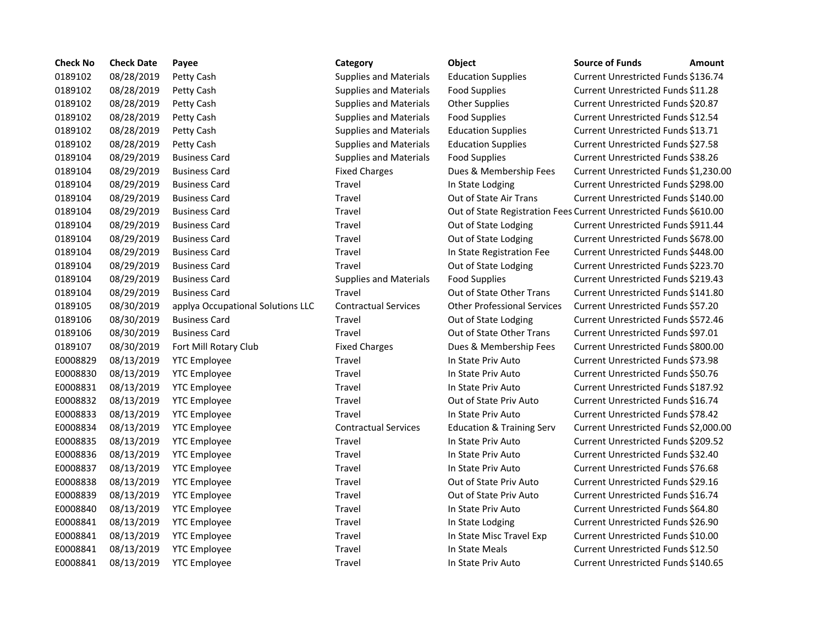| <b>Check No</b> | <b>Check Date</b> | Payee                             | Category                      | Object                                                             | <b>Source of Funds</b>                    | <b>Amount</b> |
|-----------------|-------------------|-----------------------------------|-------------------------------|--------------------------------------------------------------------|-------------------------------------------|---------------|
| 0189102         | 08/28/2019        | Petty Cash                        | <b>Supplies and Materials</b> | <b>Education Supplies</b>                                          | Current Unrestricted Funds \$136.74       |               |
| 0189102         | 08/28/2019        | Petty Cash                        | <b>Supplies and Materials</b> | <b>Food Supplies</b>                                               | Current Unrestricted Funds \$11.28        |               |
| 0189102         | 08/28/2019        | Petty Cash                        | <b>Supplies and Materials</b> | <b>Other Supplies</b>                                              | Current Unrestricted Funds \$20.87        |               |
| 0189102         | 08/28/2019        | Petty Cash                        | <b>Supplies and Materials</b> | <b>Food Supplies</b>                                               | Current Unrestricted Funds \$12.54        |               |
| 0189102         | 08/28/2019        | Petty Cash                        | <b>Supplies and Materials</b> | <b>Education Supplies</b>                                          | Current Unrestricted Funds \$13.71        |               |
| 0189102         | 08/28/2019        | Petty Cash                        | <b>Supplies and Materials</b> | <b>Education Supplies</b>                                          | Current Unrestricted Funds \$27.58        |               |
| 0189104         | 08/29/2019        | <b>Business Card</b>              | <b>Supplies and Materials</b> | <b>Food Supplies</b>                                               | Current Unrestricted Funds \$38.26        |               |
| 0189104         | 08/29/2019        | <b>Business Card</b>              | <b>Fixed Charges</b>          | Dues & Membership Fees                                             | Current Unrestricted Funds \$1,230.00     |               |
| 0189104         | 08/29/2019        | <b>Business Card</b>              | Travel                        | In State Lodging                                                   | Current Unrestricted Funds \$298.00       |               |
| 0189104         | 08/29/2019        | <b>Business Card</b>              | Travel                        | Out of State Air Trans                                             | Current Unrestricted Funds \$140.00       |               |
| 0189104         | 08/29/2019        | <b>Business Card</b>              | Travel                        | Out of State Registration Fees Current Unrestricted Funds \$610.00 |                                           |               |
| 0189104         | 08/29/2019        | <b>Business Card</b>              | Travel                        | Out of State Lodging                                               | Current Unrestricted Funds \$911.44       |               |
| 0189104         | 08/29/2019        | <b>Business Card</b>              | Travel                        | Out of State Lodging                                               | Current Unrestricted Funds \$678.00       |               |
| 0189104         | 08/29/2019        | <b>Business Card</b>              | <b>Travel</b>                 | In State Registration Fee                                          | Current Unrestricted Funds \$448.00       |               |
| 0189104         | 08/29/2019        | <b>Business Card</b>              | Travel                        | Out of State Lodging                                               | Current Unrestricted Funds \$223.70       |               |
| 0189104         | 08/29/2019        | <b>Business Card</b>              | <b>Supplies and Materials</b> | <b>Food Supplies</b>                                               | Current Unrestricted Funds \$219.43       |               |
| 0189104         | 08/29/2019        | <b>Business Card</b>              | Travel                        | Out of State Other Trans                                           | Current Unrestricted Funds \$141.80       |               |
| 0189105         | 08/30/2019        | applya Occupational Solutions LLC | <b>Contractual Services</b>   | <b>Other Professional Services</b>                                 | Current Unrestricted Funds \$57.20        |               |
| 0189106         | 08/30/2019        | <b>Business Card</b>              | Travel                        | Out of State Lodging                                               | Current Unrestricted Funds \$572.46       |               |
| 0189106         | 08/30/2019        | <b>Business Card</b>              | Travel                        | Out of State Other Trans                                           | Current Unrestricted Funds \$97.01        |               |
| 0189107         | 08/30/2019        | Fort Mill Rotary Club             | <b>Fixed Charges</b>          | Dues & Membership Fees                                             | Current Unrestricted Funds \$800.00       |               |
| E0008829        | 08/13/2019        | <b>YTC Employee</b>               | Travel                        | In State Priv Auto                                                 | Current Unrestricted Funds \$73.98        |               |
| E0008830        | 08/13/2019        | <b>YTC Employee</b>               | Travel                        | In State Priv Auto                                                 | Current Unrestricted Funds \$50.76        |               |
| E0008831        | 08/13/2019        | <b>YTC Employee</b>               | <b>Travel</b>                 | In State Priv Auto                                                 | Current Unrestricted Funds \$187.92       |               |
| E0008832        | 08/13/2019        | <b>YTC Employee</b>               | Travel                        | Out of State Priv Auto                                             | Current Unrestricted Funds \$16.74        |               |
| E0008833        | 08/13/2019        | <b>YTC Employee</b>               | Travel                        | In State Priv Auto                                                 | <b>Current Unrestricted Funds \$78.42</b> |               |
| E0008834        | 08/13/2019        | <b>YTC Employee</b>               | <b>Contractual Services</b>   | <b>Education &amp; Training Serv</b>                               | Current Unrestricted Funds \$2,000.00     |               |
| E0008835        | 08/13/2019        | <b>YTC Employee</b>               | Travel                        | In State Priv Auto                                                 | Current Unrestricted Funds \$209.52       |               |
| E0008836        | 08/13/2019        | <b>YTC Employee</b>               | Travel                        | In State Priv Auto                                                 | Current Unrestricted Funds \$32.40        |               |
| E0008837        | 08/13/2019        | <b>YTC Employee</b>               | Travel                        | In State Priv Auto                                                 | Current Unrestricted Funds \$76.68        |               |
| E0008838        | 08/13/2019        | <b>YTC Employee</b>               | Travel                        | Out of State Priv Auto                                             | Current Unrestricted Funds \$29.16        |               |
| E0008839        | 08/13/2019        | <b>YTC Employee</b>               | Travel                        | Out of State Priv Auto                                             | Current Unrestricted Funds \$16.74        |               |
| E0008840        | 08/13/2019        | <b>YTC Employee</b>               | Travel                        | In State Priv Auto                                                 | Current Unrestricted Funds \$64.80        |               |
| E0008841        | 08/13/2019        | <b>YTC Employee</b>               | Travel                        | In State Lodging                                                   | Current Unrestricted Funds \$26.90        |               |
| E0008841        | 08/13/2019        | <b>YTC Employee</b>               | Travel                        | In State Misc Travel Exp                                           | Current Unrestricted Funds \$10.00        |               |
| E0008841        | 08/13/2019        | <b>YTC Employee</b>               | Travel                        | In State Meals                                                     | Current Unrestricted Funds \$12.50        |               |
| E0008841        | 08/13/2019        | <b>YTC Employee</b>               | Travel                        | In State Priv Auto                                                 | Current Unrestricted Funds \$140.65       |               |